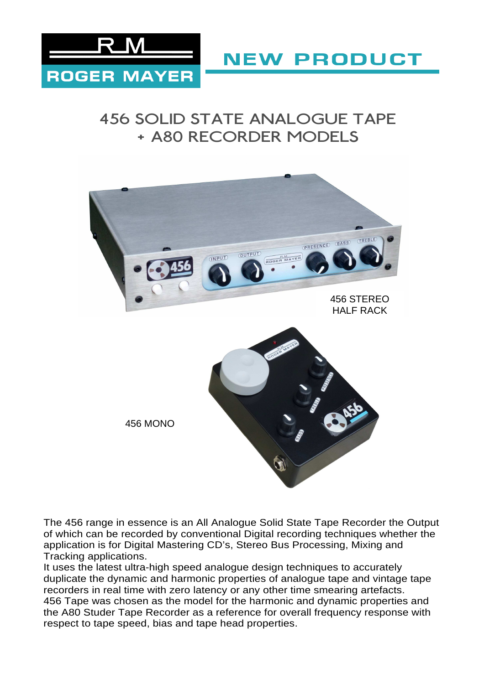

**NEW PRODUCT** 

# 456 SOLID STATE ANALOGUE TAPE + A80 RECORDER MODELS



The 456 range in essence is an All Analogue Solid State Tape Recorder the Output of which can be recorded by conventional Digital recording techniques whether the application is for Digital Mastering CD's, Stereo Bus Processing, Mixing and Tracking applications.

It uses the latest ultra-high speed analogue design techniques to accurately duplicate the dynamic and harmonic properties of analogue tape and vintage tape recorders in real time with zero latency or any other time smearing artefacts. 456 Tape was chosen as the model for the harmonic and dynamic properties and the A80 Studer Tape Recorder as a reference for overall frequency response with respect to tape speed, bias and tape head properties.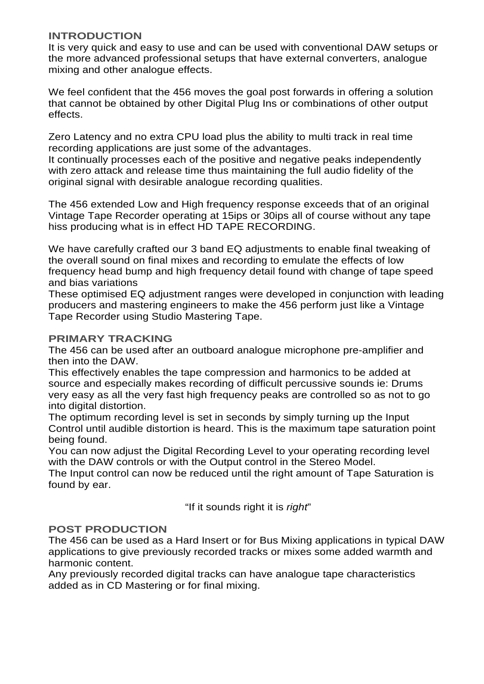## **INTRODUCTION**

It is very quick and easy to use and can be used with conventional DAW setups or the more advanced professional setups that have external converters, analogue mixing and other analogue effects.

We feel confident that the 456 moves the goal post forwards in offering a solution that cannot be obtained by other Digital Plug Ins or combinations of other output effects.

Zero Latency and no extra CPU load plus the ability to multi track in real time recording applications are just some of the advantages.

It continually processes each of the positive and negative peaks independently with zero attack and release time thus maintaining the full audio fidelity of the original signal with desirable analogue recording qualities.

The 456 extended Low and High frequency response exceeds that of an original Vintage Tape Recorder operating at 15ips or 30ips all of course without any tape hiss producing what is in effect HD TAPE RECORDING.

We have carefully crafted our 3 band EQ adjustments to enable final tweaking of the overall sound on final mixes and recording to emulate the effects of low frequency head bump and high frequency detail found with change of tape speed and bias variations

These optimised EQ adjustment ranges were developed in conjunction with leading producers and mastering engineers to make the 456 perform just like a Vintage Tape Recorder using Studio Mastering Tape.

## **PRIMARY TRACKING**

The 456 can be used after an outboard analogue microphone pre-amplifier and then into the DAW.

This effectively enables the tape compression and harmonics to be added at source and especially makes recording of difficult percussive sounds ie: Drums very easy as all the very fast high frequency peaks are controlled so as not to go into digital distortion.

The optimum recording level is set in seconds by simply turning up the Input Control until audible distortion is heard. This is the maximum tape saturation point being found.

You can now adjust the Digital Recording Level to your operating recording level with the DAW controls or with the Output control in the Stereo Model.

The Input control can now be reduced until the right amount of Tape Saturation is found by ear.

"If it sounds right it is right"

## **POST PRODUCTION**

The 456 can be used as a Hard Insert or for Bus Mixing applications in typical DAW applications to give previously recorded tracks or mixes some added warmth and harmonic content.

Any previously recorded digital tracks can have analogue tape characteristics added as in CD Mastering or for final mixing.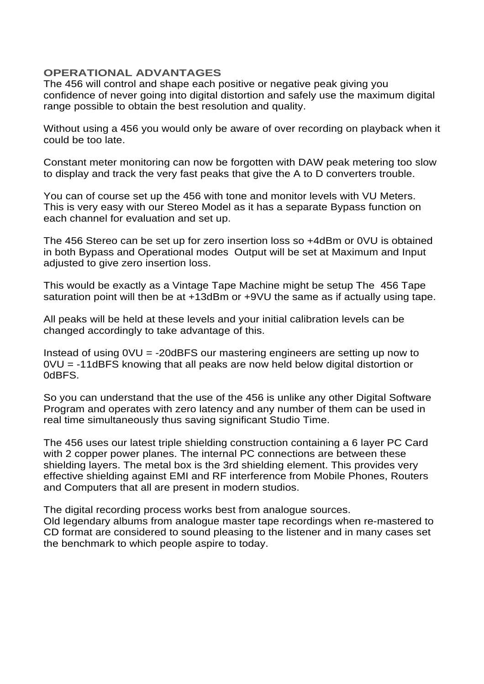## **OPERATIONAL ADVANTAGES**

The 456 will control and shape each positive or negative peak giving you confidence of never going into digital distortion and safely use the maximum digital range possible to obtain the best resolution and quality.

Without using a 456 you would only be aware of over recording on playback when it could be too late.

Constant meter monitoring can now be forgotten with DAW peak metering too slow to display and track the very fast peaks that give the A to D converters trouble.

You can of course set up the 456 with tone and monitor levels with VU Meters. This is very easy with our Stereo Model as it has a separate Bypass function on each channel for evaluation and set up.

The 456 Stereo can be set up for zero insertion loss so +4dBm or 0VU is obtained in both Bypass and Operational modes Output will be set at Maximum and Input adjusted to give zero insertion loss.

This would be exactly as a Vintage Tape Machine might be setup The 456 Tape saturation point will then be at +13dBm or +9VU the same as if actually using tape.

All peaks will be held at these levels and your initial calibration levels can be changed accordingly to take advantage of this.

Instead of using 0VU = -20dBFS our mastering engineers are setting up now to 0VU = -11dBFS knowing that all peaks are now held below digital distortion or 0dBFS.

So you can understand that the use of the 456 is unlike any other Digital Software Program and operates with zero latency and any number of them can be used in real time simultaneously thus saving significant Studio Time.

The 456 uses our latest triple shielding construction containing a 6 layer PC Card with 2 copper power planes. The internal PC connections are between these shielding layers. The metal box is the 3rd shielding element. This provides very effective shielding against EMI and RF interference from Mobile Phones, Routers and Computers that all are present in modern studios.

The digital recording process works best from analogue sources. Old legendary albums from analogue master tape recordings when re-mastered to CD format are considered to sound pleasing to the listener and in many cases set the benchmark to which people aspire to today.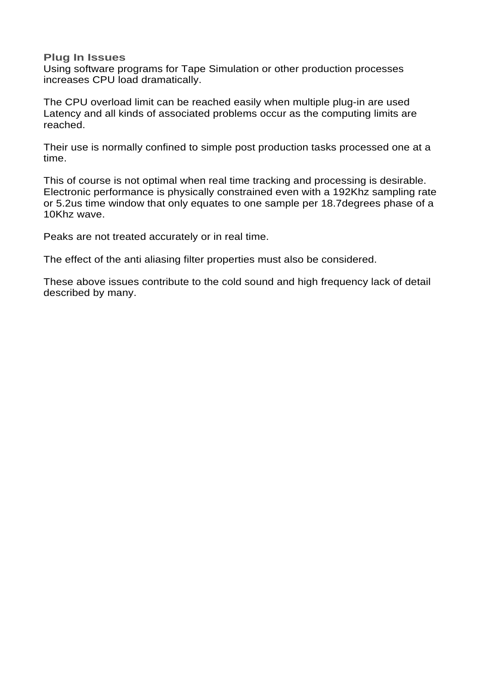#### **Plug In Issues**

Using software programs for Tape Simulation or other production processes increases CPU load dramatically.

The CPU overload limit can be reached easily when multiple plug-in are used Latency and all kinds of associated problems occur as the computing limits are reached.

Their use is normally confined to simple post production tasks processed one at a time.

This of course is not optimal when real time tracking and processing is desirable. Electronic performance is physically constrained even with a 192Khz sampling rate or 5.2us time window that only equates to one sample per 18.7degrees phase of a 10Khz wave.

Peaks are not treated accurately or in real time.

The effect of the anti aliasing filter properties must also be considered.

These above issues contribute to the cold sound and high frequency lack of detail described by many.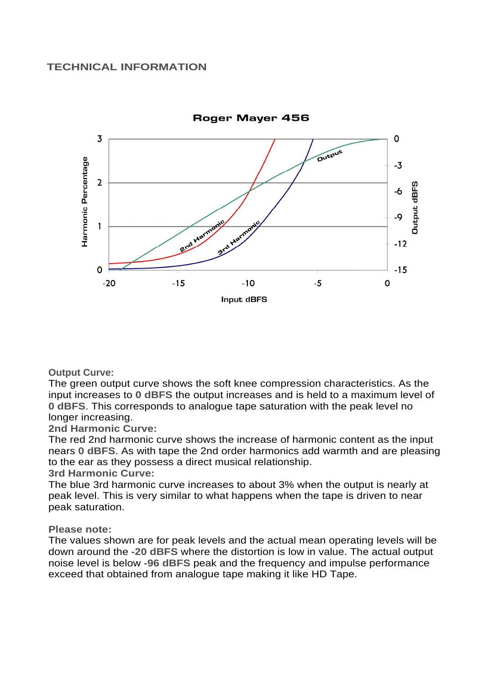

**Output Curve:** 

The green output curve shows the soft knee compression characteristics. As the input increases to **0 dBFS** the output increases and is held to a maximum level of **0 dBFS**. This corresponds to analogue tape saturation with the peak level no longer increasing.

**2nd Harmonic Curve:** 

The red 2nd harmonic curve shows the increase of harmonic content as the input nears **0 dBFS**. As with tape the 2nd order harmonics add warmth and are pleasing to the ear as they possess a direct musical relationship.

**3rd Harmonic Curve:** 

The blue 3rd harmonic curve increases to about 3% when the output is nearly at peak level. This is very similar to what happens when the tape is driven to near peak saturation.

## **Please note:**

The values shown are for peak levels and the actual mean operating levels will be down around the **-20 dBFS** where the distortion is low in value. The actual output noise level is below **-96 dBFS** peak and the frequency and impulse performance exceed that obtained from analogue tape making it like HD Tape.